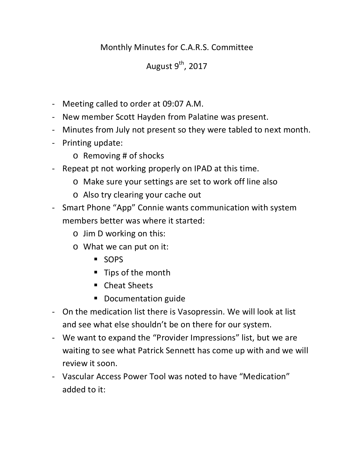## Monthly Minutes for C.A.R.S. Committee

## August  $9^{th}$ , 2017

- Meeting called to order at 09:07 A.M.
- New member Scott Hayden from Palatine was present.
- Minutes from July not present so they were tabled to next month.
- Printing update:
	- o Removing # of shocks
- Repeat pt not working properly on IPAD at this time.
	- o Make sure your settings are set to work off line also
	- o Also try clearing your cache out
- Smart Phone "App" Connie wants communication with system members better was where it started:
	- o Jim D working on this:
	- o What we can put on it:
		- $SOPS$
		- Tips of the month
		- Cheat Sheets
		- **Documentation guide**
- On the medication list there is Vasopressin. We will look at list and see what else shouldn't be on there for our system.
- We want to expand the "Provider Impressions" list, but we are waiting to see what Patrick Sennett has come up with and we will review it soon.
- Vascular Access Power Tool was noted to have "Medication" added to it: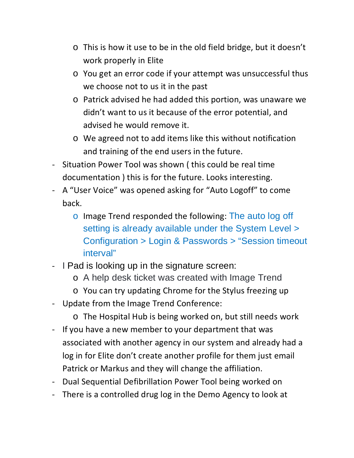- o This is how it use to be in the old field bridge, but it doesn't work properly in Elite
- o You get an error code if your attempt was unsuccessful thus we choose not to us it in the past
- o Patrick advised he had added this portion, was unaware we didn't want to us it because of the error potential, and advised he would remove it.
- o We agreed not to add items like this without notification and training of the end users in the future.
- Situation Power Tool was shown ( this could be real time documentation ) this is for the future. Looks interesting.
- A "User Voice" was opened asking for "Auto Logoff" to come back.
	- o Image Trend responded the following: The auto log off setting is already available under the System Level > Configuration > Login & Passwords > "Session timeout interval"
- I Pad is looking up in the signature screen:
	- o A help desk ticket was created with Image Trend
	- o You can try updating Chrome for the Stylus freezing up
- Update from the Image Trend Conference:
	- o The Hospital Hub is being worked on, but still needs work
- If you have a new member to your department that was associated with another agency in our system and already had a log in for Elite don't create another profile for them just email Patrick or Markus and they will change the affiliation.
- Dual Sequential Defibrillation Power Tool being worked on
- There is a controlled drug log in the Demo Agency to look at